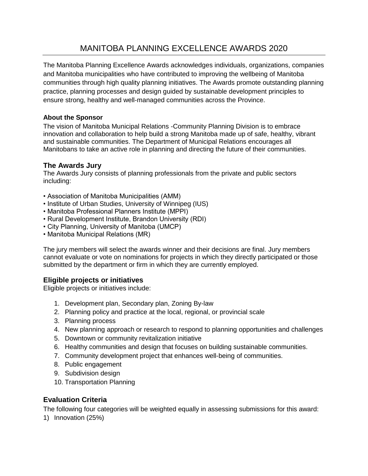# MANITOBA PLANNING EXCELLENCE AWARDS 2020

The Manitoba Planning Excellence Awards acknowledges individuals, organizations, companies and Manitoba municipalities who have contributed to improving the wellbeing of Manitoba communities through high quality planning initiatives. The Awards promote outstanding planning practice, planning processes and design guided by sustainable development principles to ensure strong, healthy and well-managed communities across the Province.

#### **About the Sponsor**

The vision of Manitoba Municipal Relations -Community Planning Division is to embrace innovation and collaboration to help build a strong Manitoba made up of safe, healthy, vibrant and sustainable communities. The Department of Municipal Relations encourages all Manitobans to take an active role in planning and directing the future of their communities.

#### **The Awards Jury**

The Awards Jury consists of planning professionals from the private and public sectors including:

- Association of Manitoba Municipalities (AMM)
- Institute of Urban Studies, University of Winnipeg (IUS)
- Manitoba Professional Planners Institute (MPPI)
- Rural Development Institute, Brandon University (RDI)
- City Planning, University of Manitoba (UMCP)
- Manitoba Municipal Relations (MR)

The jury members will select the awards winner and their decisions are final. Jury members cannot evaluate or vote on nominations for projects in which they directly participated or those submitted by the department or firm in which they are currently employed.

#### **Eligible projects or initiatives**

Eligible projects or initiatives include:

- 1. Development plan, Secondary plan, Zoning By-law
- 2. Planning policy and practice at the local, regional, or provincial scale
- 3. Planning process
- 4. New planning approach or research to respond to planning opportunities and challenges
- 5. Downtown or community revitalization initiative
- 6. Healthy communities and design that focuses on building sustainable communities.
- 7. Community development project that enhances well-being of communities.
- 8. Public engagement
- 9. Subdivision design
- 10. Transportation Planning

#### **Evaluation Criteria**

The following four categories will be weighted equally in assessing submissions for this award:

1) Innovation (25%)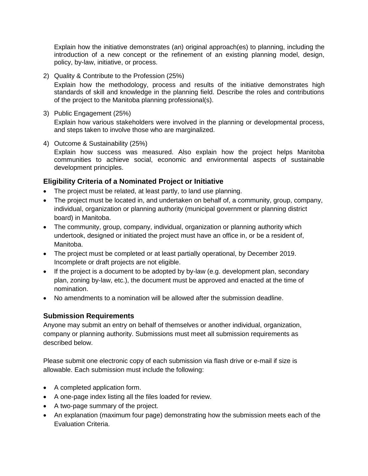Explain how the initiative demonstrates (an) original approach(es) to planning, including the introduction of a new concept or the refinement of an existing planning model, design, policy, by-law, initiative, or process.

2) Quality & Contribute to the Profession (25%)

Explain how the methodology, process and results of the initiative demonstrates high standards of skill and knowledge in the planning field. Describe the roles and contributions of the project to the Manitoba planning professional(s).

3) Public Engagement (25%)

Explain how various stakeholders were involved in the planning or developmental process, and steps taken to involve those who are marginalized.

4) Outcome & Sustainability (25%)

Explain how success was measured. Also explain how the project helps Manitoba communities to achieve social, economic and environmental aspects of sustainable development principles.

## **Eligibility Criteria of a Nominated Project or Initiative**

- The project must be related, at least partly, to land use planning.
- The project must be located in, and undertaken on behalf of, a community, group, company, individual, organization or planning authority (municipal government or planning district board) in Manitoba.
- The community, group, company, individual, organization or planning authority which undertook, designed or initiated the project must have an office in, or be a resident of, Manitoba.
- The project must be completed or at least partially operational, by December 2019. Incomplete or draft projects are not eligible.
- $\bullet$  If the project is a document to be adopted by by-law (e.g. development plan, secondary plan, zoning by-law, etc.), the document must be approved and enacted at the time of nomination.
- No amendments to a nomination will be allowed after the submission deadline.

#### **Submission Requirements**

Anyone may submit an entry on behalf of themselves or another individual, organization, company or planning authority. Submissions must meet all submission requirements as described below.

Please submit one electronic copy of each submission via flash drive or e-mail if size is allowable. Each submission must include the following:

- A completed application form.
- A one-page index listing all the files loaded for review.
- A two-page summary of the project.
- An explanation (maximum four page) demonstrating how the submission meets each of the Evaluation Criteria.